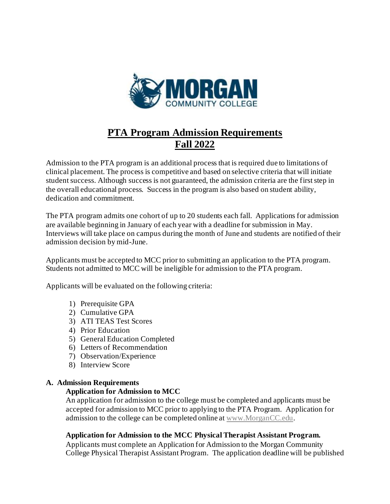

# **PTA Program Admission Requirements Fall 2022**

Admission to the PTA program is an additional process that is required due to limitations of clinical placement. The process is competitive and based on selective criteria that will initiate student success. Although success is not guaranteed, the admission criteria are the first step in the overall educational process. Success in the program is also based on student ability, dedication and commitment.

The PTA program admits one cohort of up to 20 students each fall. Applications for admission are available beginning in January of each year with a deadline for submission in May. Interviews will take place on campus during the month of June and students are notified of their admission decision by mid-June.

Applicants must be accepted to MCC prior to submitting an application to the PTA program. Students not admitted to MCC will be ineligible for admission to the PTA program.

Applicants will be evaluated on the following criteria:

- 1) Prerequisite GPA
- 2) Cumulative GPA
- 3) ATI TEAS Test Scores
- 4) Prior Education
- 5) General Education Completed
- 6) Letters of Recommendation
- 7) Observation/Experience
- 8) Interview Score

## **A. Admission Requirements**

## **Application for Admission to MCC**

An application for admission to the college must be completed and applicants must be accepted for admission to MCC prior to applying to the PTA Program. Application for admission to the college can be completed online a[t www.MorganCC.edu](http://www.morgancc.edu/).

## **Application for Admission to the MCC Physical Therapist Assistant Program.**

Applicants must complete an Application for Admission to the Morgan Community College Physical Therapist Assistant Program. The application deadline will be published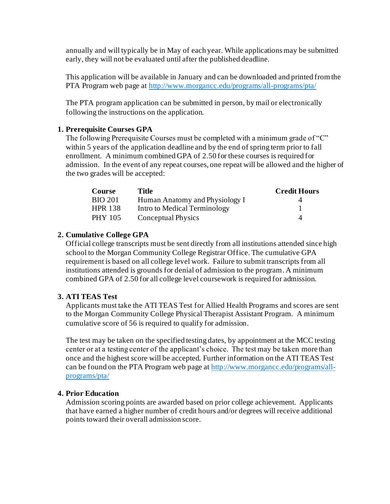annually and will typically be in May of each year. While applications may be submitted early, they will not be evaluated until after the published deadline.

This application will be available in January and can be downloaded and printed from the PTA Program web page at<http://www.morgancc.edu/programs/all-programs/pta/>

The PTA program application can be submitted in person, by mail or electronically following the instructions on the application.

# **1. Prerequisite Courses GPA**

The following Prerequisite Courses must be completed with a minimum grade of "C" within 5 years of the application deadline and by the end of spring term prior to fall enrollment. A minimum combined GPA of 2.50 for these courses is required for admission. In the event of any repeat courses, one repeat will be allowed and the higher of the two grades will be accepted:

| <b>Course</b>  | Title                          | <b>Credit Hours</b> |
|----------------|--------------------------------|---------------------|
| <b>BIO 201</b> | Human Anatomy and Physiology I |                     |
| <b>HPR 138</b> | Intro to Medical Terminology   |                     |
| PHY 105        | Conceptual Physics             |                     |

# **2. Cumulative College GPA**

Official college transcripts must be sent directly from all institutions attended since high school to the Morgan Community College Registrar Office. The cumulative GPA requirement is based on all college level work. Failure to submit transcripts from all institutions attended is grounds for denial of admission to the program. A minimum combined GPA of 2.50 for all college level coursework is required for admission.

## **3. ATI TEAS Test**

Applicants must take the ATI TEAS Test for Allied Health Programs and scores are sent to the Morgan Community College Physical Therapist Assistant Program. A minimum cumulative score of 56 is required to qualify for admission.

The test may be taken on the specified testing dates, by appointment at the MCC testing center or at a testing center of the applicant's choice. The test may be taken more than once and the highest score will be accepted. Further information on the ATI TEAS Test can be found on the PTA Program web page at [http://www.morgancc.edu/programs/all](http://www.morgancc.edu/programs/all-programs/pta/)[programs/pta/](http://www.morgancc.edu/programs/all-programs/pta/)

## **4. Prior Education**

Admission scoring points are awarded based on prior college achievement. Applicants that have earned a higher number of credit hours and/or degrees will receive additional points toward their overall admission score.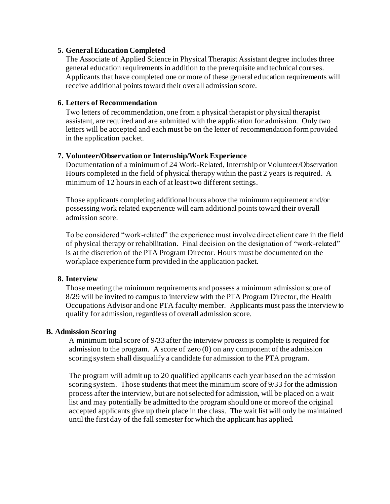#### **5. General Education Completed**

The Associate of Applied Science in Physical Therapist Assistant degree includes three general education requirements in addition to the prerequisite and technical courses. Applicants that have completed one or more of these general education requirements will receive additional points toward their overall admission score.

### **6. Letters of Recommendation**

Two letters of recommendation, one from a physical therapist or physical therapist assistant, are required and are submitted with the application for admission. Only two letters will be accepted and each must be on the letter of recommendation form provided in the application packet.

## **7. Volunteer/Observation or Internship/Work Experience**

Documentation of a minimum of 24 Work-Related, Internship or Volunteer/Observation Hours completed in the field of physical therapy within the past 2 years is required. A minimum of 12 hours in each of at least two different settings.

Those applicants completing additional hours above the minimum requirement and/or possessing work related experience will earn additional points toward their overall admission score.

To be considered "work-related" the experience must involve direct client care in the field of physical therapy or rehabilitation. Final decision on the designation of "work-related" is at the discretion of the PTA Program Director. Hours must be documented on the workplace experience form provided in the application packet.

## **8. Interview**

Those meeting the minimum requirements and possess a minimum admission score of 8/29 will be invited to campus to interview with the PTA Program Director, the Health Occupations Advisor and one PTA faculty member. Applicants must pass the interview to qualify for admission, regardless of overall admission score.

## **B. Admission Scoring**

A minimum total score of 9/33 after the interview process is complete is required for admission to the program. A score of zero  $(0)$  on any component of the admission scoring system shall disqualify a candidate for admission to the PTA program.

The program will admit up to 20 qualified applicants each year based on the admission scoring system. Those students that meet the minimum score of 9/33 for the admission process after the interview, but are not selected for admission, will be placed on a wait list and may potentially be admitted to the program should one or more of the original accepted applicants give up their place in the class. The wait list will only be maintained until the first day of the fall semester for which the applicant has applied.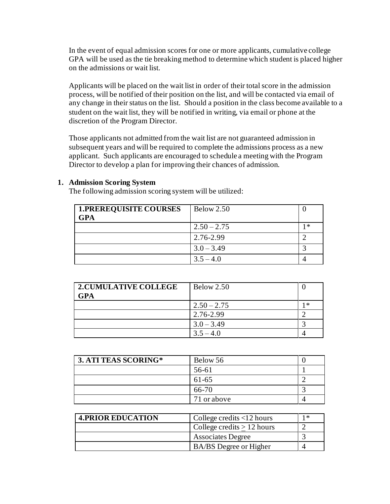In the event of equal admission scores for one or more applicants, cumulative college GPA will be used as the tie breaking method to determine which student is placed higher on the admissions or wait list.

Applicants will be placed on the wait list in order of their total score in the admission process, will be notified of their position on the list, and will be contacted via email of any change in their status on the list. Should a position in the class become available to a student on the wait list, they will be notified in writing, via email or phone at the discretion of the Program Director.

Those applicants not admitted from the wait list are not guaranteed admission in subsequent years and will be required to complete the admissions process as a new applicant. Such applicants are encouraged to schedule a meeting with the Program Director to develop a plan for improving their chances of admission.

| 1.PREREQUISITE COURSES<br><b>GPA</b> | <b>Below 2.50</b> |   |
|--------------------------------------|-------------------|---|
|                                      | $2.50 - 2.75$     | * |
|                                      | 2.76-2.99         |   |
|                                      | $3.0 - 3.49$      |   |
|                                      | $3.5 - 4.0$       |   |

**1. Admission Scoring System**

The following admission scoring system will be utilized:

| <b>2.CUMULATIVE COLLEGE</b> | <b>Below 2.50</b> |   |
|-----------------------------|-------------------|---|
| <b>GPA</b>                  |                   |   |
|                             | $2.50 - 2.75$     | * |
|                             | 2.76-2.99         |   |
|                             | $3.0 - 3.49$      |   |
|                             | $3.5 - 4.0$       |   |

| 3. ATI TEAS SCORING* | Below 56    |  |
|----------------------|-------------|--|
|                      | 56-61       |  |
|                      | 61-65       |  |
|                      | 66-70       |  |
|                      | 71 or above |  |

| <b>4. PRIOR EDUCATION</b> | College credits $<$ 12 hours  | 1 * |
|---------------------------|-------------------------------|-----|
|                           | College credits $> 12$ hours  |     |
|                           | <b>Associates Degree</b>      |     |
|                           | <b>BA/BS</b> Degree or Higher |     |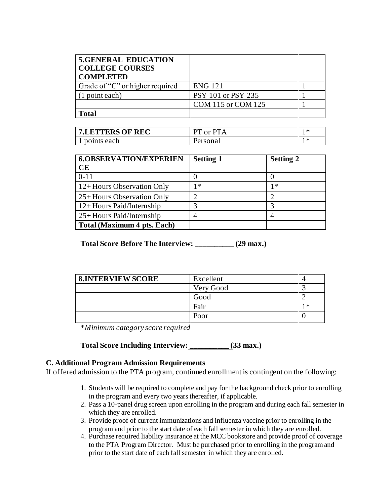| <b>5.GENERAL EDUCATION</b><br><b>COLLEGE COURSES</b><br><b>COMPLETED</b> |                    |  |
|--------------------------------------------------------------------------|--------------------|--|
| Grade of "C" or higher required                                          | <b>ENG 121</b>     |  |
| (1 point each)                                                           | PSY 101 or PSY 235 |  |
|                                                                          | COM 115 or COM 125 |  |
| latal                                                                    |                    |  |

| 7.LETTERS OF REC | $PT$ or $PTA$ | -≭  |
|------------------|---------------|-----|
| points each      | Personal      | 1 ж |

| <b>6.OBSERVATION/EXPERIEN</b><br><b>CE</b> | <b>Setting 1</b> | <b>Setting 2</b> |
|--------------------------------------------|------------------|------------------|
| $0 - 11$                                   |                  |                  |
| $12+$ Hours Observation Only               | 1 *              | 1∗               |
| 25+ Hours Observation Only                 |                  |                  |
| 12+Hours Paid/Internship                   |                  |                  |
| $25 +$ Hours Paid/Internship               |                  |                  |
| Total (Maximum 4 pts. Each)                |                  |                  |

**Total Score Before The Interview: \_\_\_\_\_\_\_\_\_\_ (29 max.)**

| <b>8.INTERVIEW SCORE</b> | Excellent |   |
|--------------------------|-----------|---|
|                          | Very Good |   |
|                          | Good      |   |
|                          | Fair      | ∗ |
|                          | Poor      |   |

\**Minimum category score required*

**Total Score Including Interview: \_\_\_\_\_\_\_\_\_\_ (33 max.)**

## **C. Additional Program Admission Requirements**

If offered admission to the PTA program, continued enrollment is contingent on the following:

- 1. Students will be required to complete and pay for the background check prior to enrolling in the program and every two years thereafter, if applicable.
- 2. Pass a 10-panel drug screen upon enrolling in the program and during each fall semester in which they are enrolled.
- 3. Provide proof of current immunizations and influenza vaccine prior to enrolling in the program and prior to the start date of each fall semester in which they are enrolled.
- 4. Purchase required liability insurance at the MCC bookstore and provide proof of coverage to the PTA Program Director. Must be purchased prior to enrolling in the program and prior to the start date of each fall semester in which they are enrolled.